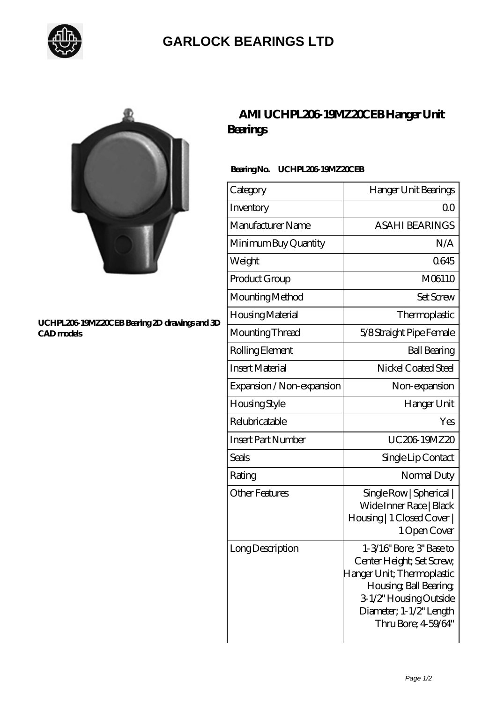

## **[GARLOCK BEARINGS LTD](https://m.letterstopriests.com)**



#### **[UCHPL206-19MZ20CEB Bearing 2D drawings and 3D](https://m.letterstopriests.com/pic-189097.html) [CAD models](https://m.letterstopriests.com/pic-189097.html)**

## **[AMI UCHPL206-19MZ20CEB Hanger Unit](https://m.letterstopriests.com/ar-189097-ami-uchpl206-19mz20ceb-hanger-unit-bearings.html) [Bearings](https://m.letterstopriests.com/ar-189097-ami-uchpl206-19mz20ceb-hanger-unit-bearings.html)**

### **Bearing No. UCHPL206-19MZ20CEB**

| Category                  | Hanger Unit Bearings                                                                                                                                                                     |
|---------------------------|------------------------------------------------------------------------------------------------------------------------------------------------------------------------------------------|
| Inventory                 | Q0                                                                                                                                                                                       |
| Manufacturer Name         | <b>ASAHI BEARINGS</b>                                                                                                                                                                    |
| Minimum Buy Quantity      | N/A                                                                                                                                                                                      |
| Weight                    | 0645                                                                                                                                                                                     |
| Product Group             | M06110                                                                                                                                                                                   |
| Mounting Method           | <b>Set Screw</b>                                                                                                                                                                         |
| Housing Material          | Thermoplastic                                                                                                                                                                            |
| Mounting Thread           | 5/8 Straight Pipe Female                                                                                                                                                                 |
| Rolling Element           | <b>Ball Bearing</b>                                                                                                                                                                      |
| <b>Insert Material</b>    | Nickel Coated Steel                                                                                                                                                                      |
| Expansion / Non-expansion | Non-expansion                                                                                                                                                                            |
| Housing Style             | Hanger Unit                                                                                                                                                                              |
| Relubricatable            | Yes                                                                                                                                                                                      |
| <b>Insert Part Number</b> | UC206 19MZ20                                                                                                                                                                             |
| <b>Seals</b>              | Single Lip Contact                                                                                                                                                                       |
| Rating                    | Normal Duty                                                                                                                                                                              |
| <b>Other Features</b>     | Single Row   Spherical  <br>Wide Inner Race   Black<br>Housing   1 Closed Cover  <br>1 Open Cover                                                                                        |
| Long Description          | 1-3/16" Bore; 3" Base to<br>Center Height; Set Screw,<br>Hanger Unit; Thermoplastic<br>Housing, Ball Bearing,<br>3-1/2" Housing Outside<br>Diameter; 1-1/2" Length<br>Thru Bore; 459/64" |